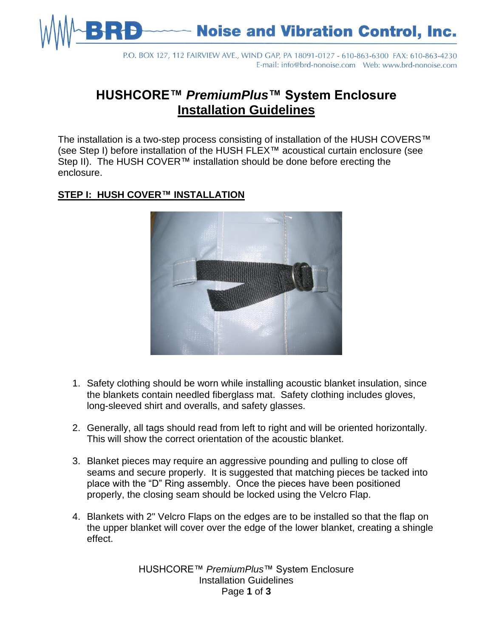

P.O. BOX 127, 112 FAIRVIEW AVE., WIND GAP, PA 18091-0127 - 610-863-6300 FAX: 610-863-4230 

## **HUSHCORE™** *PremiumPlus***™ System Enclosure Installation Guidelines**

The installation is a two-step process consisting of installation of the HUSH COVERS™ (see Step I) before installation of the HUSH FLEX™ acoustical curtain enclosure (see Step II). The HUSH COVER™ installation should be done before erecting the enclosure.

## **STEP I: HUSH COVER™ INSTALLATION**



- 1. Safety clothing should be worn while installing acoustic blanket insulation, since the blankets contain needled fiberglass mat. Safety clothing includes gloves, long-sleeved shirt and overalls, and safety glasses.
- 2. Generally, all tags should read from left to right and will be oriented horizontally. This will show the correct orientation of the acoustic blanket.
- 3. Blanket pieces may require an aggressive pounding and pulling to close off seams and secure properly. It is suggested that matching pieces be tacked into place with the "D" Ring assembly. Once the pieces have been positioned properly, the closing seam should be locked using the Velcro Flap.
- 4. Blankets with 2" Velcro Flaps on the edges are to be installed so that the flap on the upper blanket will cover over the edge of the lower blanket, creating a shingle effect.

HUSHCORE™ *PremiumPlus*™ System Enclosure Installation Guidelines Page **1** of **3**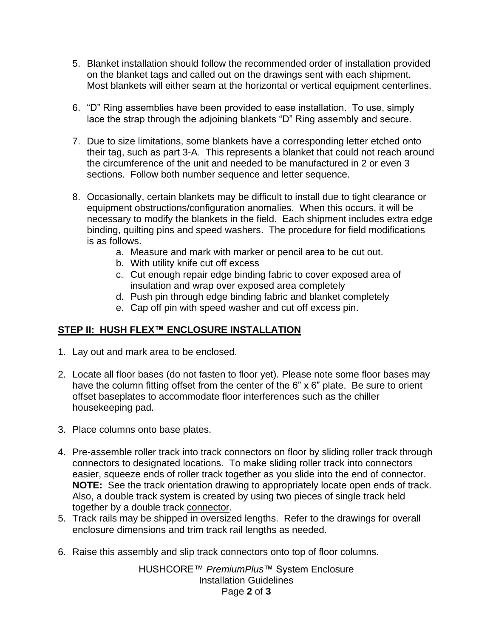- 5. Blanket installation should follow the recommended order of installation provided on the blanket tags and called out on the drawings sent with each shipment. Most blankets will either seam at the horizontal or vertical equipment centerlines.
- 6. "D" Ring assemblies have been provided to ease installation. To use, simply lace the strap through the adjoining blankets "D" Ring assembly and secure.
- 7. Due to size limitations, some blankets have a corresponding letter etched onto their tag, such as part 3-A. This represents a blanket that could not reach around the circumference of the unit and needed to be manufactured in 2 or even 3 sections. Follow both number sequence and letter sequence.
- 8. Occasionally, certain blankets may be difficult to install due to tight clearance or equipment obstructions/configuration anomalies. When this occurs, it will be necessary to modify the blankets in the field. Each shipment includes extra edge binding, quilting pins and speed washers. The procedure for field modifications is as follows.
	- a. Measure and mark with marker or pencil area to be cut out.
	- b. With utility knife cut off excess
	- c. Cut enough repair edge binding fabric to cover exposed area of insulation and wrap over exposed area completely
	- d. Push pin through edge binding fabric and blanket completely
	- e. Cap off pin with speed washer and cut off excess pin.

## **STEP II: HUSH FLEX™ ENCLOSURE INSTALLATION**

- 1. Lay out and mark area to be enclosed.
- 2. Locate all floor bases (do not fasten to floor yet). Please note some floor bases may have the column fitting offset from the center of the 6" x 6" plate. Be sure to orient offset baseplates to accommodate floor interferences such as the chiller housekeeping pad.
- 3. Place columns onto base plates.
- 4. Pre-assemble roller track into track connectors on floor by sliding roller track through connectors to designated locations. To make sliding roller track into connectors easier, squeeze ends of roller track together as you slide into the end of connector. **NOTE:** See the track orientation drawing to appropriately locate open ends of track. Also, a double track system is created by using two pieces of single track held together by a double track connector.
- 5. Track rails may be shipped in oversized lengths. Refer to the drawings for overall enclosure dimensions and trim track rail lengths as needed.
- 6. Raise this assembly and slip track connectors onto top of floor columns.

HUSHCORE™ *PremiumPlus*™ System Enclosure Installation Guidelines Page **2** of **3**